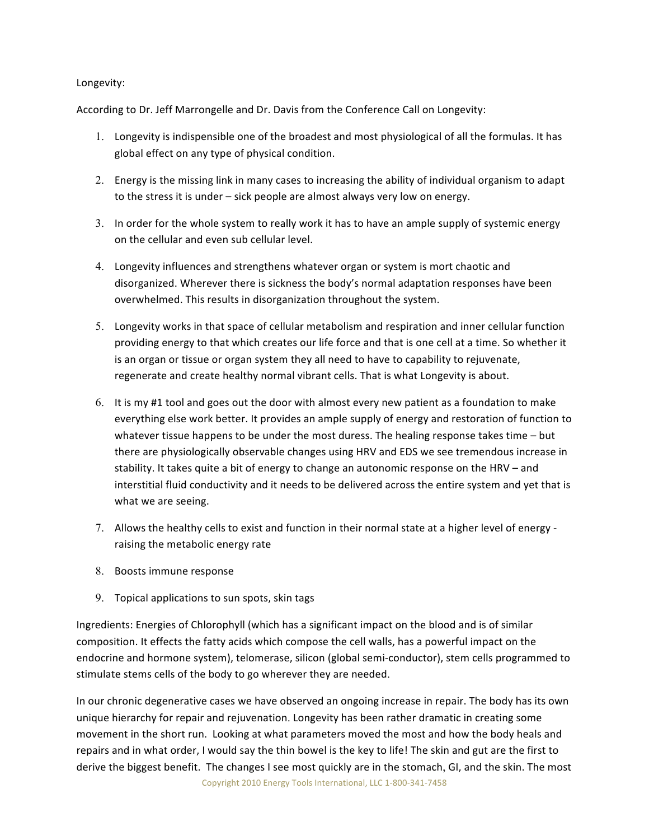## Longevity:

According to Dr. Jeff Marrongelle and Dr. Davis from the Conference Call on Longevity:

- 1. Longevity is indispensible one of the broadest and most physiological of all the formulas. It has global
effect
on
any
type
of
physical
condition.
- 2. Energy is the missing link in many cases to increasing the ability of individual organism to adapt to the stress it is under - sick people are almost always very low on energy.
- 3. In order for the whole system to really work it has to have an ample supply of systemic energy on
the
cellular
and
even
sub
cellular
level.
- 4. Longevity influences and strengthens whatever organ or system is mort chaotic and disorganized. Wherever there is sickness the body's normal adaptation responses have been overwhelmed. This results in disorganization throughout the system.
- 5. Longevity works in that space of cellular metabolism and respiration and inner cellular function providing energy to that which creates our life force and that is one cell at a time. So whether it is an organ or tissue or organ system they all need to have to capability to rejuvenate, regenerate and create healthy normal vibrant cells. That is what Longevity is about.
- 6. It is my #1 tool and goes out the door with almost every new patient as a foundation to make everything else work better. It provides an ample supply of energy and restoration of function to whatever tissue happens to be under the most duress. The healing response takes time - but there
are
physiologically
observable
changes
using
HRV
and
EDS
we
see
tremendous
increase
in stability. It takes quite a bit of energy to change an autonomic response on the HRV - and interstitial fluid conductivity and it needs to be delivered across the entire system and yet that is what
we
are
seeing.
- 7. Allows the healthy cells to exist and function in their normal state at a higher level of energy raising
the
metabolic
energy
rate
- 8. Boosts
immune
response
- 9. Topical
applications
to
sun
spots,
skin
tags

Ingredients: Energies of Chlorophyll (which has a significant impact on the blood and is of similar composition. It effects the fatty acids which compose the cell walls, has a powerful impact on the endocrine and hormone system), telomerase, silicon (global semi-conductor), stem cells programmed to stimulate
stems
cells
of
the
body
to
go
wherever
they
are
needed.

In our chronic degenerative cases we have observed an ongoing increase in repair. The body has its own unique hierarchy for repair and rejuvenation. Longevity has been rather dramatic in creating some movement in the short run. Looking at what parameters moved the most and how the body heals and repairs and in what order, I would say the thin bowel is the key to life! The skin and gut are the first to derive the biggest benefit. The changes I see most quickly are in the stomach, GI, and the skin. The most